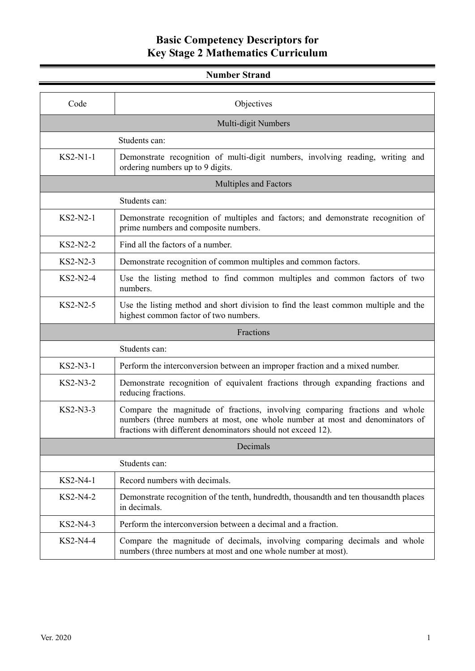#### **Number Strand**

| Code                | Objectives                                                                                                                                                                                                                  |
|---------------------|-----------------------------------------------------------------------------------------------------------------------------------------------------------------------------------------------------------------------------|
| Multi-digit Numbers |                                                                                                                                                                                                                             |
|                     | Students can:                                                                                                                                                                                                               |
| KS2-N1-1            | Demonstrate recognition of multi-digit numbers, involving reading, writing and<br>ordering numbers up to 9 digits.                                                                                                          |
|                     | <b>Multiples and Factors</b>                                                                                                                                                                                                |
|                     | Students can:                                                                                                                                                                                                               |
| KS2-N2-1            | Demonstrate recognition of multiples and factors; and demonstrate recognition of<br>prime numbers and composite numbers.                                                                                                    |
| $KS2-N2-2$          | Find all the factors of a number.                                                                                                                                                                                           |
| $KS2-N2-3$          | Demonstrate recognition of common multiples and common factors.                                                                                                                                                             |
| KS2-N2-4            | Use the listing method to find common multiples and common factors of two<br>numbers.                                                                                                                                       |
| KS2-N2-5            | Use the listing method and short division to find the least common multiple and the<br>highest common factor of two numbers.                                                                                                |
|                     | Fractions                                                                                                                                                                                                                   |
|                     | Students can:                                                                                                                                                                                                               |
| KS2-N3-1            | Perform the interconversion between an improper fraction and a mixed number.                                                                                                                                                |
| KS2-N3-2            | Demonstrate recognition of equivalent fractions through expanding fractions and<br>reducing fractions.                                                                                                                      |
| KS2-N3-3            | Compare the magnitude of fractions, involving comparing fractions and whole<br>numbers (three numbers at most, one whole number at most and denominators of<br>fractions with different denominators should not exceed 12). |
|                     | Decimals                                                                                                                                                                                                                    |
|                     | Students can:                                                                                                                                                                                                               |
| KS2-N4-1            | Record numbers with decimals.                                                                                                                                                                                               |
| KS2-N4-2            | Demonstrate recognition of the tenth, hundredth, thousandth and ten thousandth places<br>in decimals.                                                                                                                       |
| KS2-N4-3            | Perform the interconversion between a decimal and a fraction.                                                                                                                                                               |
| KS2-N4-4            | Compare the magnitude of decimals, involving comparing decimals and whole<br>numbers (three numbers at most and one whole number at most).                                                                                  |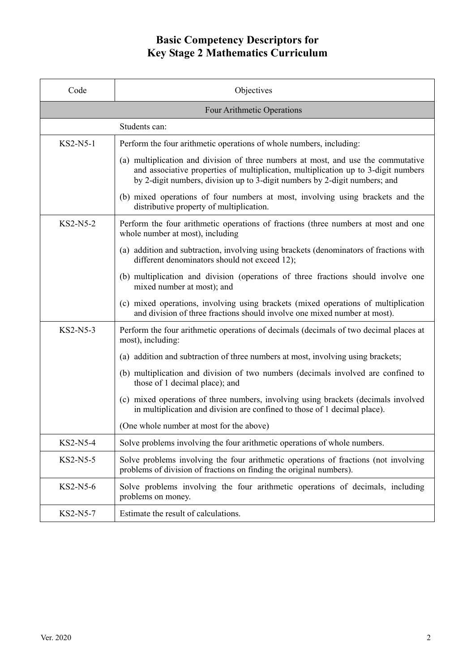| Code                       | Objectives                                                                                                                                                                                                                                            |
|----------------------------|-------------------------------------------------------------------------------------------------------------------------------------------------------------------------------------------------------------------------------------------------------|
| Four Arithmetic Operations |                                                                                                                                                                                                                                                       |
| Students can:              |                                                                                                                                                                                                                                                       |
| KS2-N5-1                   | Perform the four arithmetic operations of whole numbers, including:                                                                                                                                                                                   |
|                            | (a) multiplication and division of three numbers at most, and use the commutative<br>and associative properties of multiplication, multiplication up to 3-digit numbers<br>by 2-digit numbers, division up to 3-digit numbers by 2-digit numbers; and |
|                            | (b) mixed operations of four numbers at most, involving using brackets and the<br>distributive property of multiplication.                                                                                                                            |
| $KS2-N5-2$                 | Perform the four arithmetic operations of fractions (three numbers at most and one<br>whole number at most), including                                                                                                                                |
|                            | (a) addition and subtraction, involving using brackets (denominators of fractions with<br>different denominators should not exceed 12);                                                                                                               |
|                            | (b) multiplication and division (operations of three fractions should involve one<br>mixed number at most); and                                                                                                                                       |
|                            | (c) mixed operations, involving using brackets (mixed operations of multiplication<br>and division of three fractions should involve one mixed number at most).                                                                                       |
| $KS2-N5-3$                 | Perform the four arithmetic operations of decimals (decimals of two decimal places at<br>most), including:                                                                                                                                            |
|                            | (a) addition and subtraction of three numbers at most, involving using brackets;                                                                                                                                                                      |
|                            | (b) multiplication and division of two numbers (decimals involved are confined to<br>those of 1 decimal place); and                                                                                                                                   |
|                            | (c) mixed operations of three numbers, involving using brackets (decimals involved<br>in multiplication and division are confined to those of 1 decimal place).                                                                                       |
|                            | (One whole number at most for the above)                                                                                                                                                                                                              |
| KS2-N5-4                   | Solve problems involving the four arithmetic operations of whole numbers.                                                                                                                                                                             |
| KS2-N5-5                   | Solve problems involving the four arithmetic operations of fractions (not involving<br>problems of division of fractions on finding the original numbers).                                                                                            |
| $KS2-N5-6$                 | Solve problems involving the four arithmetic operations of decimals, including<br>problems on money.                                                                                                                                                  |
| KS2-N5-7                   | Estimate the result of calculations.                                                                                                                                                                                                                  |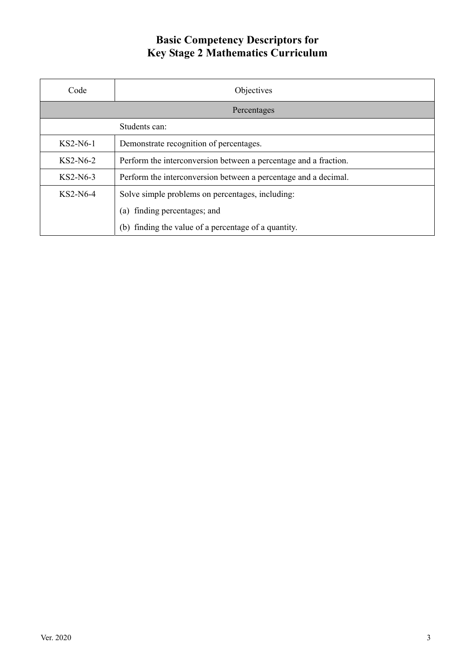| Code          | Objectives                                                       |
|---------------|------------------------------------------------------------------|
| Percentages   |                                                                  |
| Students can: |                                                                  |
| $KS2-N6-1$    | Demonstrate recognition of percentages.                          |
| $KS2-N6-2$    | Perform the interconversion between a percentage and a fraction. |
| $KS2-N6-3$    | Perform the interconversion between a percentage and a decimal.  |
| $KS2-N6-4$    | Solve simple problems on percentages, including:                 |
|               | finding percentages; and<br>$\left( a\right)$                    |
|               | finding the value of a percentage of a quantity.<br>(b)          |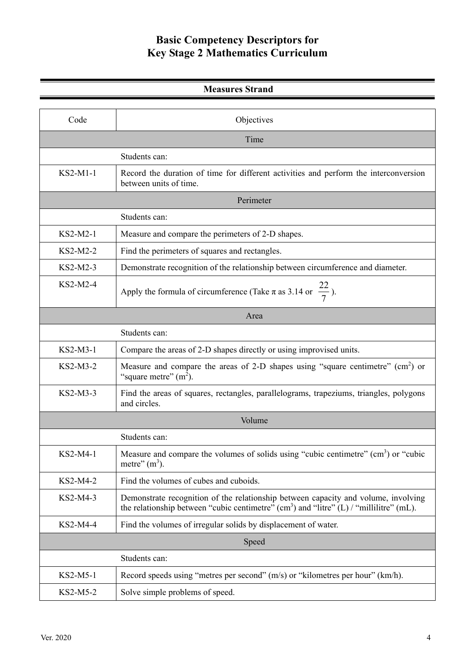| <b>Measures Strand</b> |                                                                                                                                                                                      |
|------------------------|--------------------------------------------------------------------------------------------------------------------------------------------------------------------------------------|
|                        |                                                                                                                                                                                      |
| Code                   | Objectives                                                                                                                                                                           |
| Time                   |                                                                                                                                                                                      |
|                        | Students can:                                                                                                                                                                        |
| KS2-M1-1               | Record the duration of time for different activities and perform the interconversion<br>between units of time.                                                                       |
|                        | Perimeter                                                                                                                                                                            |
|                        | Students can:                                                                                                                                                                        |
| KS2-M2-1               | Measure and compare the perimeters of 2-D shapes.                                                                                                                                    |
| KS2-M2-2               | Find the perimeters of squares and rectangles.                                                                                                                                       |
| KS2-M2-3               | Demonstrate recognition of the relationship between circumference and diameter.                                                                                                      |
| KS2-M2-4               | Apply the formula of circumference (Take $\pi$ as 3.14 or $\frac{22}{7}$ ).                                                                                                          |
|                        | Area                                                                                                                                                                                 |
|                        | Students can:                                                                                                                                                                        |
| KS2-M3-1               | Compare the areas of 2-D shapes directly or using improvised units.                                                                                                                  |
| KS2-M3-2               | Measure and compare the areas of 2-D shapes using "square centimetre" $(cm2)$ or<br>"square metre" $(m2)$ .                                                                          |
| KS2-M3-3               | Find the areas of squares, rectangles, parallelograms, trapeziums, triangles, polygons<br>and circles.                                                                               |
|                        | Volume                                                                                                                                                                               |
|                        | Students can:                                                                                                                                                                        |
| KS2-M4-1               | Measure and compare the volumes of solids using "cubic centimetre" (cm <sup>3</sup> ) or "cubic<br>metre" $(m3)$ .                                                                   |
| KS2-M4-2               | Find the volumes of cubes and cuboids.                                                                                                                                               |
| KS2-M4-3               | Demonstrate recognition of the relationship between capacity and volume, involving<br>the relationship between "cubic centimetre" $(cm^3)$ and "litre" $(L)$ / "millilitre" $(mL)$ . |
| KS2-M4-4               | Find the volumes of irregular solids by displacement of water.                                                                                                                       |
|                        | Speed                                                                                                                                                                                |
|                        | Students can:                                                                                                                                                                        |
| KS2-M5-1               | Record speeds using "metres per second" (m/s) or "kilometres per hour" (km/h).                                                                                                       |
| KS2-M5-2               | Solve simple problems of speed.                                                                                                                                                      |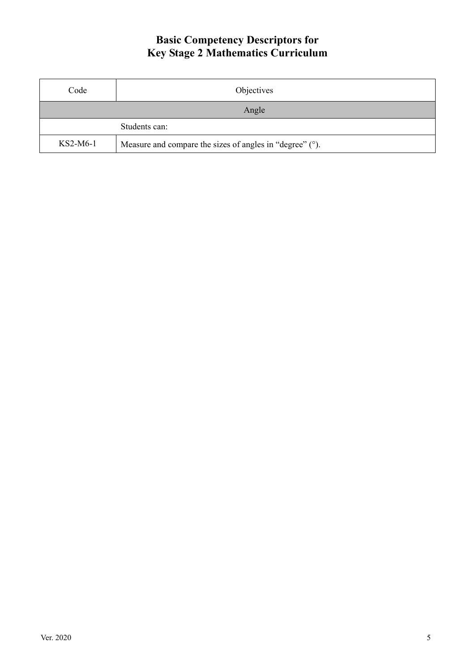| Code       | Objectives                                                  |
|------------|-------------------------------------------------------------|
| Angle      |                                                             |
|            | Students can:                                               |
| $KS2-M6-1$ | Measure and compare the sizes of angles in "degree" $(°)$ . |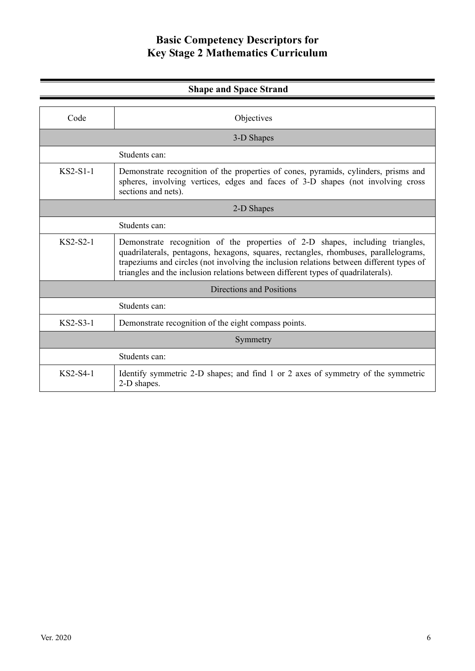| <b>Shape and Space Strand</b> |                                                                                                                                                                                                                                                                                                                                                        |
|-------------------------------|--------------------------------------------------------------------------------------------------------------------------------------------------------------------------------------------------------------------------------------------------------------------------------------------------------------------------------------------------------|
| Code                          | Objectives                                                                                                                                                                                                                                                                                                                                             |
| 3-D Shapes                    |                                                                                                                                                                                                                                                                                                                                                        |
|                               | Students can:                                                                                                                                                                                                                                                                                                                                          |
| $KS2-S1-1$                    | Demonstrate recognition of the properties of cones, pyramids, cylinders, prisms and<br>spheres, involving vertices, edges and faces of 3-D shapes (not involving cross<br>sections and nets).                                                                                                                                                          |
| 2-D Shapes                    |                                                                                                                                                                                                                                                                                                                                                        |
|                               | Students can:                                                                                                                                                                                                                                                                                                                                          |
| $KS2-S2-1$                    | Demonstrate recognition of the properties of 2-D shapes, including triangles,<br>quadrilaterals, pentagons, hexagons, squares, rectangles, rhombuses, parallelograms,<br>trapeziums and circles (not involving the inclusion relations between different types of<br>triangles and the inclusion relations between different types of quadrilaterals). |
|                               | Directions and Positions                                                                                                                                                                                                                                                                                                                               |
|                               | Students can:                                                                                                                                                                                                                                                                                                                                          |
| $KS2-S3-1$                    | Demonstrate recognition of the eight compass points.                                                                                                                                                                                                                                                                                                   |
| Symmetry                      |                                                                                                                                                                                                                                                                                                                                                        |
|                               | Students can:                                                                                                                                                                                                                                                                                                                                          |
| $KS2-S4-1$                    | Identify symmetric 2-D shapes; and find 1 or 2 axes of symmetry of the symmetric<br>2-D shapes.                                                                                                                                                                                                                                                        |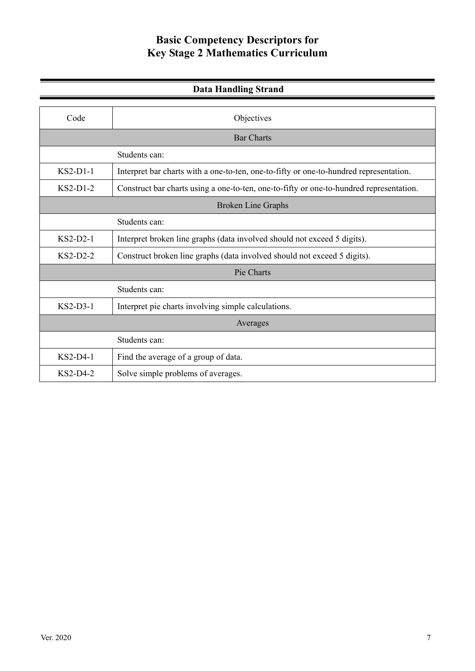| <b>Data Handling Strand</b> |                                                                                         |
|-----------------------------|-----------------------------------------------------------------------------------------|
|                             |                                                                                         |
| Code                        | Objectives                                                                              |
| <b>Bar Charts</b>           |                                                                                         |
|                             | Students can:                                                                           |
| $KS2-D1-1$                  | Interpret bar charts with a one-to-ten, one-to-fifty or one-to-hundred representation.  |
| $KS2-D1-2$                  | Construct bar charts using a one-to-ten, one-to-fifty or one-to-hundred representation. |
| <b>Broken Line Graphs</b>   |                                                                                         |
|                             | Students can:                                                                           |
| $KS2-D2-1$                  | Interpret broken line graphs (data involved should not exceed 5 digits).                |
| $KS2-D2-2$                  | Construct broken line graphs (data involved should not exceed 5 digits).                |
|                             | Pie Charts                                                                              |
|                             | Students can:                                                                           |
| $KS2-D3-1$                  | Interpret pie charts involving simple calculations.                                     |
|                             | Averages                                                                                |
|                             | Students can:                                                                           |
| $KS2-D4-1$                  | Find the average of a group of data.                                                    |
| $KS2-D4-2$                  | Solve simple problems of averages.                                                      |